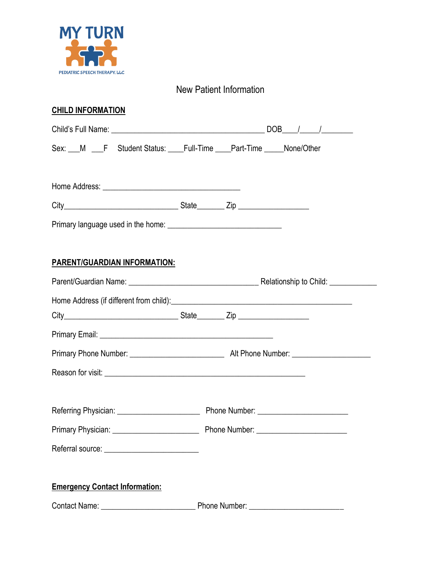

### New Patient Information

#### **CHILD INFORMATION**

| Sex: __M __F Student Status: ___Full-Time ___Part-Time ____None/Other                                          |  |  |  |
|----------------------------------------------------------------------------------------------------------------|--|--|--|
|                                                                                                                |  |  |  |
|                                                                                                                |  |  |  |
|                                                                                                                |  |  |  |
|                                                                                                                |  |  |  |
| <b>PARENT/GUARDIAN INFORMATION:</b>                                                                            |  |  |  |
|                                                                                                                |  |  |  |
| Home Address (if different from child): <b>All and Containers and Containers and Containers and Containers</b> |  |  |  |
|                                                                                                                |  |  |  |
|                                                                                                                |  |  |  |
|                                                                                                                |  |  |  |
|                                                                                                                |  |  |  |
|                                                                                                                |  |  |  |
|                                                                                                                |  |  |  |
|                                                                                                                |  |  |  |
|                                                                                                                |  |  |  |
| <b>Emergency Contact Information:</b>                                                                          |  |  |  |
|                                                                                                                |  |  |  |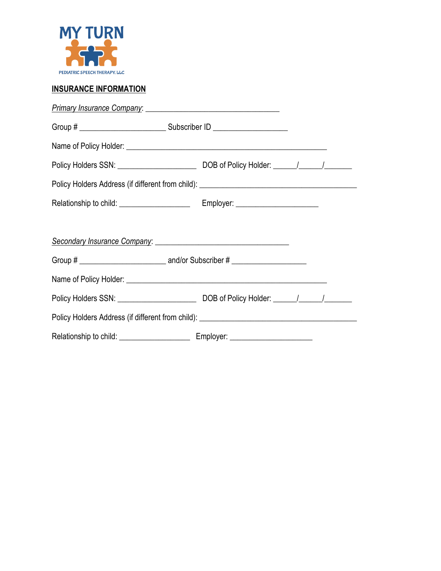

#### **INSURANCE INFORMATION**

| Policy Holders Address (if different from child): _______________________________ |  |  |
|-----------------------------------------------------------------------------------|--|--|
|                                                                                   |  |  |
|                                                                                   |  |  |
|                                                                                   |  |  |
|                                                                                   |  |  |
|                                                                                   |  |  |
|                                                                                   |  |  |
| Policy Holders Address (if different from child): _______________________________ |  |  |
|                                                                                   |  |  |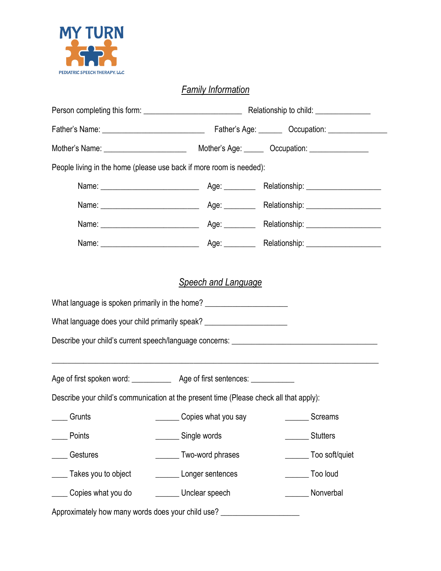

## *Family Information*

|                                                                                                                                                                                                                                                                                                                                               |                     | Relationship to child: ________________ |
|-----------------------------------------------------------------------------------------------------------------------------------------------------------------------------------------------------------------------------------------------------------------------------------------------------------------------------------------------|---------------------|-----------------------------------------|
|                                                                                                                                                                                                                                                                                                                                               |                     |                                         |
|                                                                                                                                                                                                                                                                                                                                               |                     |                                         |
| People living in the home (please use back if more room is needed):                                                                                                                                                                                                                                                                           |                     |                                         |
|                                                                                                                                                                                                                                                                                                                                               |                     |                                         |
|                                                                                                                                                                                                                                                                                                                                               |                     | Relationship: _____________________     |
|                                                                                                                                                                                                                                                                                                                                               |                     |                                         |
|                                                                                                                                                                                                                                                                                                                                               |                     |                                         |
| What language is spoken primarily in the home? _________________________________<br>What language does your child primarily speak? _________________________________<br>Describe your child's current speech/language concerns: ________________________<br>,我们也不能在这里的时候,我们也不能在这里的时候,我们也不能在这里的时候,我们也不能会在这里的时候,我们也不能会在这里的时候,我们也不能会在这里的时候,我们也不能 |                     |                                         |
|                                                                                                                                                                                                                                                                                                                                               |                     |                                         |
| Describe your child's communication at the present time (Please check all that apply):                                                                                                                                                                                                                                                        |                     |                                         |
| Grunts                                                                                                                                                                                                                                                                                                                                        | Copies what you say | ________ Screams                        |
| Points                                                                                                                                                                                                                                                                                                                                        | Single words        | <b>Stutters</b>                         |
| Gestures                                                                                                                                                                                                                                                                                                                                      | Two-word phrases    | Too soft/quiet                          |
| Takes you to object                                                                                                                                                                                                                                                                                                                           | Longer sentences    | Too loud                                |
| Copies what you do<br>Unclear speech                                                                                                                                                                                                                                                                                                          |                     | Nonverbal                               |
| Approximately how many words does your child use? ________________________                                                                                                                                                                                                                                                                    |                     |                                         |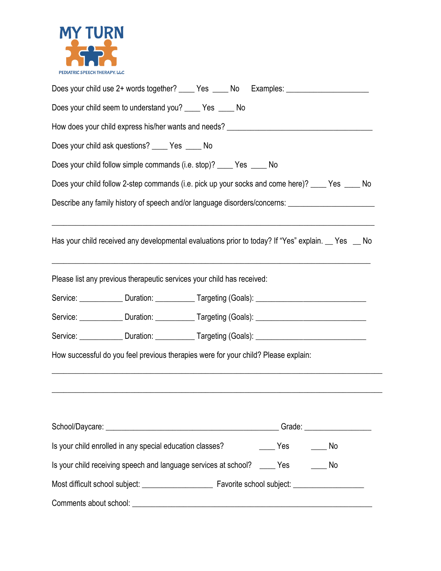

| Does your child use 2+ words together? _____ Yes _____ No Examples: ___________________                      |
|--------------------------------------------------------------------------------------------------------------|
| Does your child seem to understand you? _____ Yes _____ No                                                   |
|                                                                                                              |
| Does your child ask questions? _____ Yes _____ No                                                            |
| Does your child follow simple commands (i.e. stop)? ____ Yes ____ No                                         |
| Does your child follow 2-step commands (i.e. pick up your socks and come here)? ____ Yes ____ No             |
| Describe any family history of speech and/or language disorders/concerns: _________________________          |
| Has your child received any developmental evaluations prior to today? If "Yes" explain. Yes No               |
| Please list any previous therapeutic services your child has received:                                       |
| Service: _____________Duration: _____________Targeting (Goals): ___________________________________          |
| Service: <u>_______________</u> Duration: ____________ Targeting (Goals): _______________________________    |
| Service: <u>______________</u> Duration: ____________ Targeting (Goals): ________________________________    |
| How successful do you feel previous therapies were for your child? Please explain:                           |
|                                                                                                              |
|                                                                                                              |
|                                                                                                              |
| Is your child enrolled in any special education classes?<br>$\rule{1em}{0.15mm}$ Yes $\rule{1em}{0.15mm}$ No |
| Is your child receiving speech and language services at school? _____ Yes _______ No                         |
|                                                                                                              |
|                                                                                                              |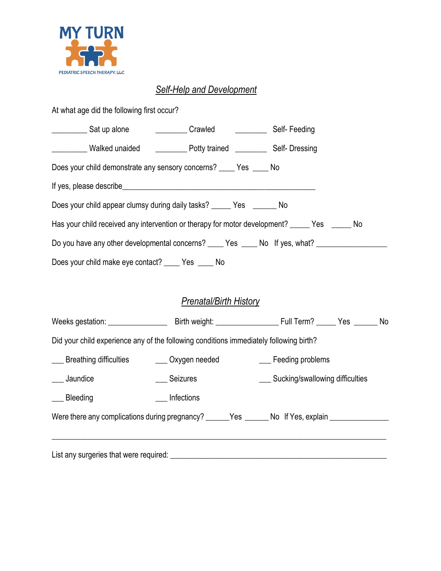

#### *Self-Help and Development*

At what age did the following first occur? \_\_\_\_\_\_\_\_\_\_\_\_ Sat up alone \_\_\_\_\_\_\_\_\_\_\_\_\_\_\_ Crawled \_\_\_\_\_\_\_\_\_\_\_\_\_\_\_\_ Self- Feeding \_\_\_\_\_\_\_\_\_ Walked unaided \_\_\_\_\_\_\_\_ Potty trained \_\_\_\_\_\_\_\_ Self- Dressing

Does your child demonstrate any sensory concerns? \_\_\_\_ Yes \_\_\_\_ No

If yes, please describe\_\_\_\_\_\_\_\_\_\_\_\_\_\_\_\_\_\_\_\_\_\_\_\_\_\_\_\_\_\_\_\_\_\_\_\_\_\_\_\_\_\_\_\_\_\_\_\_\_

Does your child appear clumsy during daily tasks? \_\_\_\_\_\_ Yes \_\_\_\_\_\_\_ No

Has your child received any intervention or therapy for motor development? \_\_\_\_\_ Yes \_\_\_\_\_ No

Do you have any other developmental concerns? \_\_\_\_ Yes \_\_\_\_ No If yes, what? \_\_\_\_\_\_\_\_\_\_\_\_\_\_\_\_\_\_\_\_\_\_

Does your child make eye contact? \_\_\_\_ Yes \_\_\_\_ No

### *Prenatal/Birth History*

| Weeks gestation: ________________                                                      |            |                                                                                                     |  |
|----------------------------------------------------------------------------------------|------------|-----------------------------------------------------------------------------------------------------|--|
| Did your child experience any of the following conditions immediately following birth? |            |                                                                                                     |  |
| ___ Breathing difficulties ___ Oxygen needed                                           |            | ___ Feeding problems                                                                                |  |
| ____ Jaundice                                                                          | Seizures   | ___ Sucking/swallowing difficulties                                                                 |  |
| __ Bleeding                                                                            | Infections |                                                                                                     |  |
|                                                                                        |            | Were there any complications during pregnancy? _______Yes _______No If Yes, explain _______________ |  |
|                                                                                        |            |                                                                                                     |  |
| List any surgeries that were required:                                                 |            |                                                                                                     |  |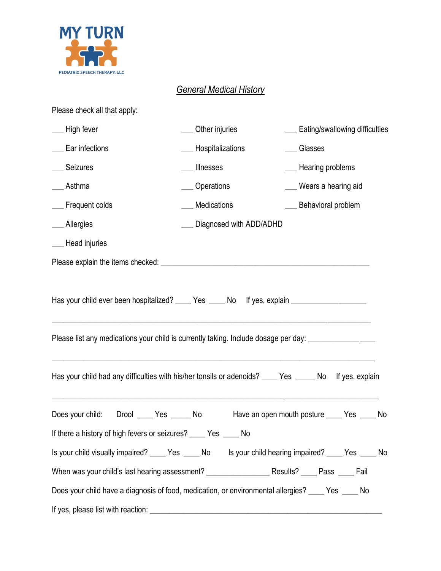

## *General Medical History*

| Please check all that apply:                                                                                                                                                                               |                            |                                                                                                         |
|------------------------------------------------------------------------------------------------------------------------------------------------------------------------------------------------------------|----------------------------|---------------------------------------------------------------------------------------------------------|
| ___ High fever                                                                                                                                                                                             | __ Other injuries          | ___ Eating/swallowing difficulties                                                                      |
| __ Ear infections                                                                                                                                                                                          | __ Hospitalizations        | _Glasses                                                                                                |
| ___ Seizures                                                                                                                                                                                               | __ Illnesses               | __ Hearing problems                                                                                     |
| Asthma                                                                                                                                                                                                     | ___ Operations             | Wears a hearing aid                                                                                     |
| ___ Frequent colds                                                                                                                                                                                         | __ Medications             | __ Behavioral problem                                                                                   |
| ___ Allergies                                                                                                                                                                                              | __ Diagnosed with ADD/ADHD |                                                                                                         |
| ___ Head injuries                                                                                                                                                                                          |                            |                                                                                                         |
|                                                                                                                                                                                                            |                            |                                                                                                         |
| Has your child ever been hospitalized? ____ Yes ____ No lf yes, explain ___________________________<br>Please list any medications your child is currently taking. Include dosage per day: _______________ |                            |                                                                                                         |
|                                                                                                                                                                                                            |                            | Has your child had any difficulties with his/her tonsils or adenoids? ____ Yes _____ No If yes, explain |
| Drool _____ Yes ______ No<br>Does your child:                                                                                                                                                              |                            | Have an open mouth posture _____ Yes _____ No                                                           |
| If there a history of high fevers or seizures? _____ Yes _____ No                                                                                                                                          |                            |                                                                                                         |
|                                                                                                                                                                                                            |                            | Is your child visually impaired? ____ Yes ____ No ls your child hearing impaired? ____ Yes ____ No      |
|                                                                                                                                                                                                            |                            |                                                                                                         |
| Does your child have a diagnosis of food, medication, or environmental allergies? ____ Yes ____ No                                                                                                         |                            |                                                                                                         |
|                                                                                                                                                                                                            |                            |                                                                                                         |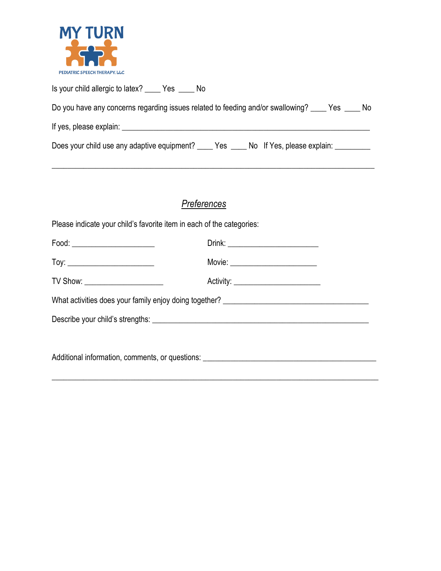

| Is your child allergic to latex? _______ Yes _______ No                                            |
|----------------------------------------------------------------------------------------------------|
| Do you have any concerns regarding issues related to feeding and/or swallowing? _____ Yes _____ No |
| If yes, please explain:                                                                            |
| Does your child use any adaptive equipment? ______ Yes ______ No If Yes, please explain: _________ |

\_\_\_\_\_\_\_\_\_\_\_\_\_\_\_\_\_\_\_\_\_\_\_\_\_\_\_\_\_\_\_\_\_\_\_\_\_\_\_\_\_\_\_\_\_\_\_\_\_\_\_\_\_\_\_\_\_\_\_\_\_\_\_\_\_\_\_\_\_\_\_\_\_\_\_\_\_\_\_\_\_\_

## *Preferences*

Please indicate your child's favorite item in each of the categories:

| Food: ________________________                                                    |                                     |  |
|-----------------------------------------------------------------------------------|-------------------------------------|--|
|                                                                                   | Movie: __________________________   |  |
| TV Show: _______________________                                                  | Activity: _________________________ |  |
| What activities does your family enjoy doing together? __________________________ |                                     |  |
|                                                                                   |                                     |  |
|                                                                                   |                                     |  |
|                                                                                   |                                     |  |

\_\_\_\_\_\_\_\_\_\_\_\_\_\_\_\_\_\_\_\_\_\_\_\_\_\_\_\_\_\_\_\_\_\_\_\_\_\_\_\_\_\_\_\_\_\_\_\_\_\_\_\_\_\_\_\_\_\_\_\_\_\_\_\_\_\_\_\_\_\_\_\_\_\_\_\_\_\_\_\_\_\_\_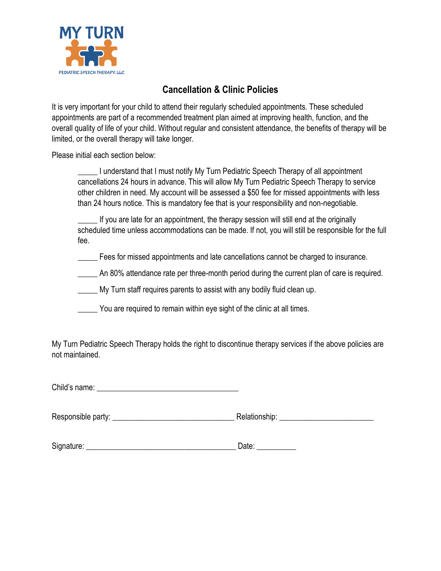

### **Cancellation & Clinic Policies**

It is very important for your child to attend their regularly scheduled appointments. These scheduled appointments are part of a recommended treatment plan aimed at improving health, function, and the overall quality of life of your child. Without regular and consistent attendance, the benefits of therapy will be limited, or the overall therapy will take longer.

Please initial each section below:

I understand that I must notify My Turn Pediatric Speech Therapy of all appointment cancellations 24 hours in advance. This will allow My Turn Pediatric Speech Therapy to service other children in need. My account will be assessed a \$50 fee for missed appointments with less than 24 hours notice. This is mandatory fee that is your responsibility and non-negotiable.

If you are late for an appointment, the therapy session will still end at the originally scheduled time unless accommodations can be made. If not, you will still be responsible for the full fee.

\_\_\_\_\_ Fees for missed appointments and late cancellations cannot be charged to insurance.

\_\_\_\_\_ An 80% attendance rate per three-month period during the current plan of care is required.

My Turn staff requires parents to assist with any bodily fluid clean up.

\_\_\_\_\_ You are required to remain within eye sight of the clinic at all times.

My Turn Pediatric Speech Therapy holds the right to discontinue therapy services if the above policies are not maintained.

Child's name: \_\_\_\_\_\_\_\_\_\_\_\_\_\_\_\_\_\_\_\_\_\_\_\_\_\_\_\_\_\_\_\_\_\_\_\_

Responsible party: \_\_\_\_\_\_\_\_\_\_\_\_\_\_\_\_\_\_\_\_\_\_\_\_\_\_\_\_\_\_\_ Relationship: \_\_\_\_\_\_\_\_\_\_\_\_\_\_\_\_\_\_\_\_\_\_\_\_

| Signature: | )ate: |
|------------|-------|
|------------|-------|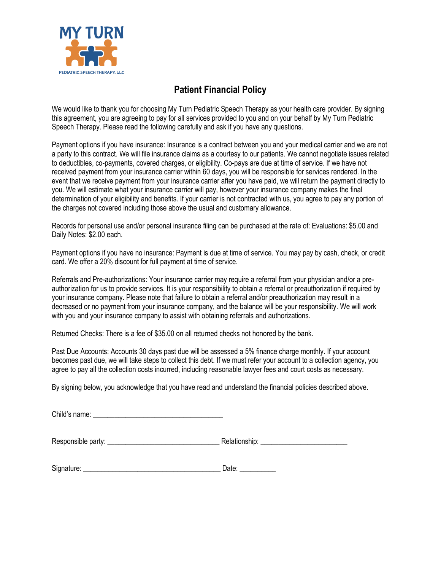

#### **Patient Financial Policy**

We would like to thank you for choosing My Turn Pediatric Speech Therapy as your health care provider. By signing this agreement, you are agreeing to pay for all services provided to you and on your behalf by My Turn Pediatric Speech Therapy. Please read the following carefully and ask if you have any questions.

Payment options if you have insurance: Insurance is a contract between you and your medical carrier and we are not a party to this contract. We will file insurance claims as a courtesy to our patients. We cannot negotiate issues related to deductibles, co-payments, covered charges, or eligibility. Co-pays are due at time of service. If we have not received payment from your insurance carrier within 60 days, you will be responsible for services rendered. In the event that we receive payment from your insurance carrier after you have paid, we will return the payment directly to you. We will estimate what your insurance carrier will pay, however your insurance company makes the final determination of your eligibility and benefits. If your carrier is not contracted with us, you agree to pay any portion of the charges not covered including those above the usual and customary allowance.

Records for personal use and/or personal insurance filing can be purchased at the rate of: Evaluations: \$5.00 and Daily Notes: \$2.00 each.

Payment options if you have no insurance: Payment is due at time of service. You may pay by cash, check, or credit card. We offer a 20% discount for full payment at time of service.

Referrals and Pre-authorizations: Your insurance carrier may require a referral from your physician and/or a preauthorization for us to provide services. It is your responsibility to obtain a referral or preauthorization if required by your insurance company. Please note that failure to obtain a referral and/or preauthorization may result in a decreased or no payment from your insurance company, and the balance will be your responsibility. We will work with you and your insurance company to assist with obtaining referrals and authorizations.

Returned Checks: There is a fee of \$35.00 on all returned checks not honored by the bank.

Past Due Accounts: Accounts 30 days past due will be assessed a 5% finance charge monthly. If your account becomes past due, we will take steps to collect this debt. If we must refer your account to a collection agency, you agree to pay all the collection costs incurred, including reasonable lawyer fees and court costs as necessary.

By signing below, you acknowledge that you have read and understand the financial policies described above.

Responsible party: \_\_\_\_\_\_\_\_\_\_\_\_\_\_\_\_\_\_\_\_\_\_\_\_\_\_\_\_\_\_\_ Relationship: \_\_\_\_\_\_\_\_\_\_\_\_\_\_\_\_\_\_\_\_\_\_\_\_

| Signature: | Date |
|------------|------|
|            |      |